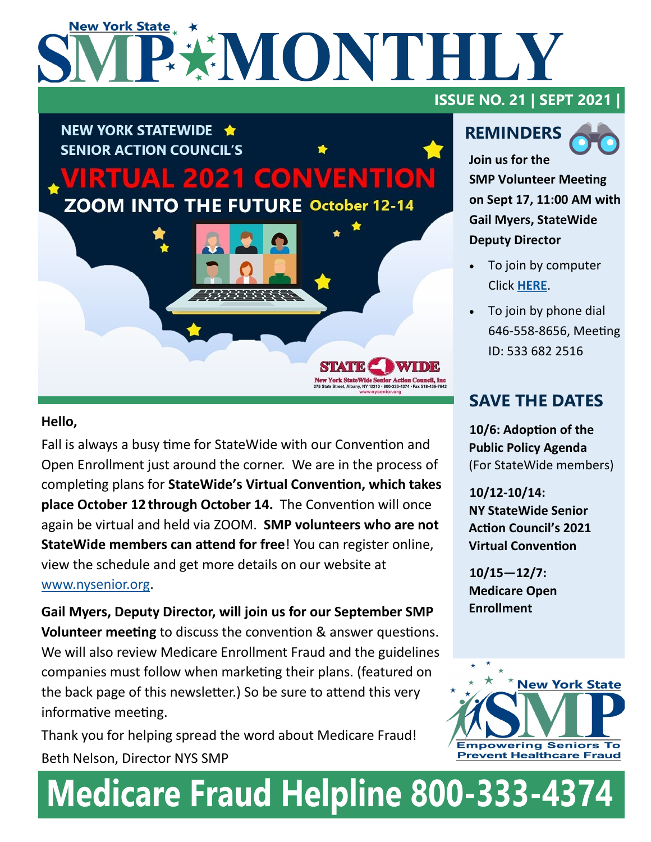# **New York State** PEMONTHLY



### **Hello,**

Fall is always a busy time for StateWide with our Convention and Open Enrollment just around the corner. We are in the process of completing plans for **StateWide's Virtual Convention, which takes place October 12 through October 14.** The Convention will once again be virtual and held via ZOOM. **SMP volunteers who are not StateWide members can attend for free**! You can register online, view the schedule and get more details on our website at [www.nysenior.org.](http://www.nysenior.org)

**Gail Myers, Deputy Director, will join us for our September SMP Volunteer meeting** to discuss the convention & answer questions. We will also review Medicare Enrollment Fraud and the guidelines companies must follow when marketing their plans. (featured on the back page of this newsletter.) So be sure to attend this very informative meeting.

Thank you for helping spread the word about Medicare Fraud! Beth Nelson, Director NYS SMP

## **ISSUE NO. 21 | SEPT 2021 |**

## **REMINDERS**



**Join us for the SMP Volunteer Meeting on Sept 17, 11:00 AM with Gail Myers, StateWide Deputy Director** 

- To join by computer Click **[HERE](https://us02web.zoom.us/j/5336822516)**.
- To join by phone dial 646-558-8656, Meeting ID: 533 682 2516

## **SAVE THE DATES**

**10/6: Adoption of the Public Policy Agenda**  (For StateWide members)

**10/12-10/14: NY StateWide Senior Action Council's 2021 Virtual Convention**

**10/15—12/7: Medicare Open Enrollment**



# **Medicare Fraud Helpline 800-333-4374**